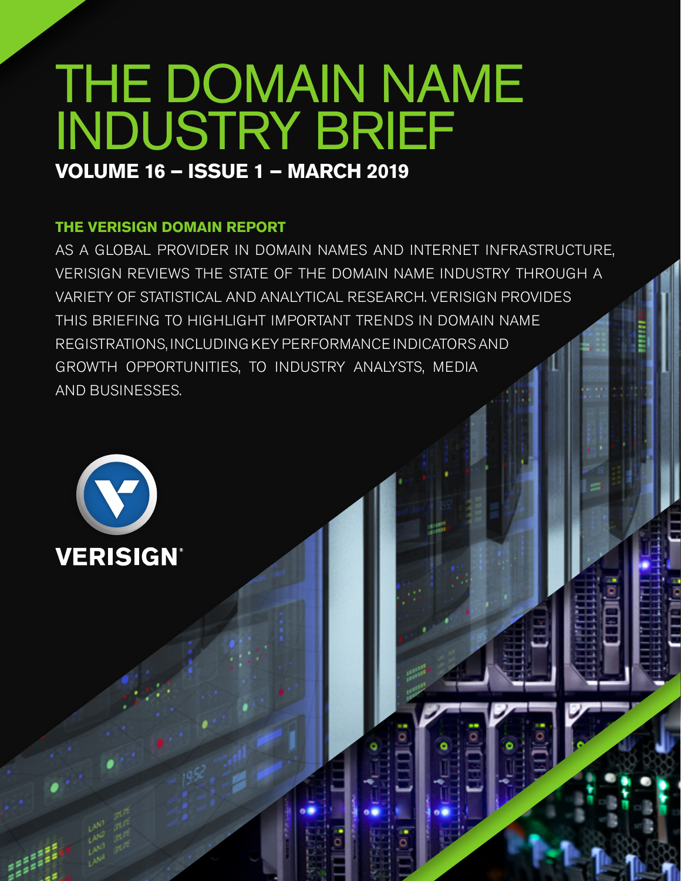# THE DOMAIN NAME INDUSTRY BRIEF **VOLUME 16 – ISSUE 1 – MARCH 2019**

## **THE VERISIGN DOMAIN REPORT**

AS A GLOBAL PROVIDER IN DOMAIN NAMES AND INTERNET INFRASTRUCTURE, VERISIGN REVIEWS THE STATE OF THE DOMAIN NAME INDUSTRY THROUGH A VARIETY OF STATISTICAL AND ANALYTICAL RESEARCH. VERISIGN PROVIDES THIS BRIEFING TO HIGHLIGHT IMPORTANT TRENDS IN DOMAIN NAME REGISTRATIONS, INCLUDING KEY PERFORMANCE INDICATORS AND GROWTH OPPORTUNITIES, TO INDUSTRY ANALYSTS, MEDIA AND BUSINESSES.

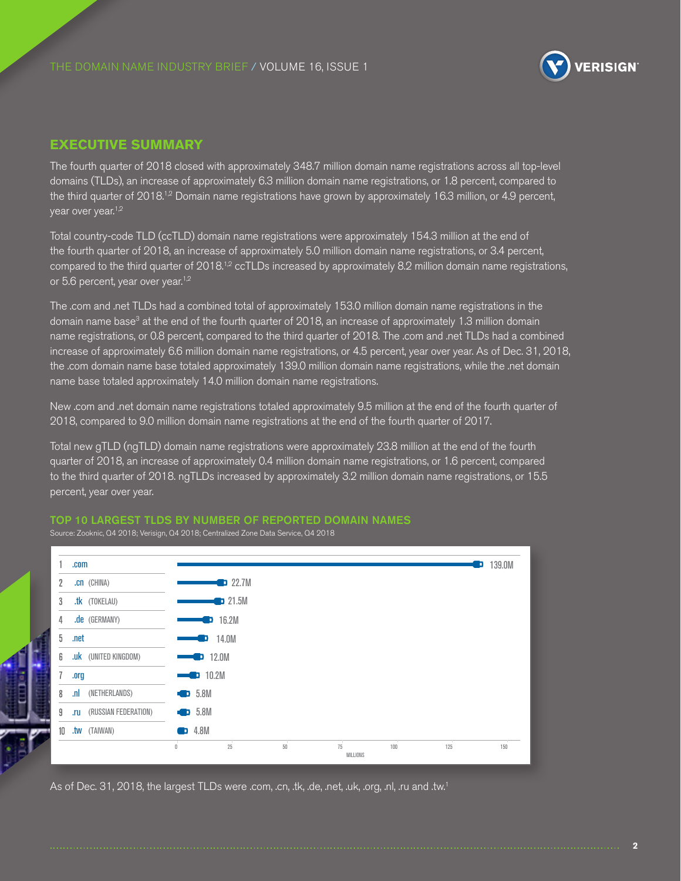

#### **EXECUTIVE SUMMARY**

The fourth quarter of 2018 closed with approximately 348.7 million domain name registrations across all top-level domains (TLDs), an increase of approximately 6.3 million domain name registrations, or 1.8 percent, compared to the third quarter of 2018.<sup>1,2</sup> Domain name registrations have grown by approximately 16.3 million, or 4.9 percent, year over year.<sup>1,2</sup>

Total country-code TLD (ccTLD) domain name registrations were approximately 154.3 million at the end of the fourth quarter of 2018, an increase of approximately 5.0 million domain name registrations, or 3.4 percent, compared to the third quarter of 2018.<sup>12</sup> ccTLDs increased by approximately 8.2 million domain name registrations, or 5.6 percent, year over year.<sup>1,2</sup>

The .com and .net TLDs had a combined total of approximately 153.0 million domain name registrations in the domain name base<sup>3</sup> at the end of the fourth quarter of 2018, an increase of approximately 1.3 million domain name registrations, or 0.8 percent, compared to the third quarter of 2018. The .com and .net TLDs had a combined increase of approximately 6.6 million domain name registrations, or 4.5 percent, year over year. As of Dec. 31, 2018, the .com domain name base totaled approximately 139.0 million domain name registrations, while the .net domain name base totaled approximately 14.0 million domain name registrations.

New .com and .net domain name registrations totaled approximately 9.5 million at the end of the fourth quarter of 2018, compared to 9.0 million domain name registrations at the end of the fourth quarter of 2017.

Total new gTLD (ngTLD) domain name registrations were approximately 23.8 million at the end of the fourth quarter of 2018, an increase of approximately 0.4 million domain name registrations, or 1.6 percent, compared to the third quarter of 2018. ngTLDs increased by approximately 3.2 million domain name registrations, or 15.5 percent, year over year.

#### TOP 10 LARGEST TLDS BY NUMBER OF REPORTED DOMAIN NAMES

Source: Zooknic, Q4 2018; Verisign, Q4 2018; Centralized Zone Data Service, Q4 2018



As of Dec. 31, 2018, the largest TLDs were .com, .cn, .tk, .de, .net, .uk, .org, .nl, .ru and .tw.1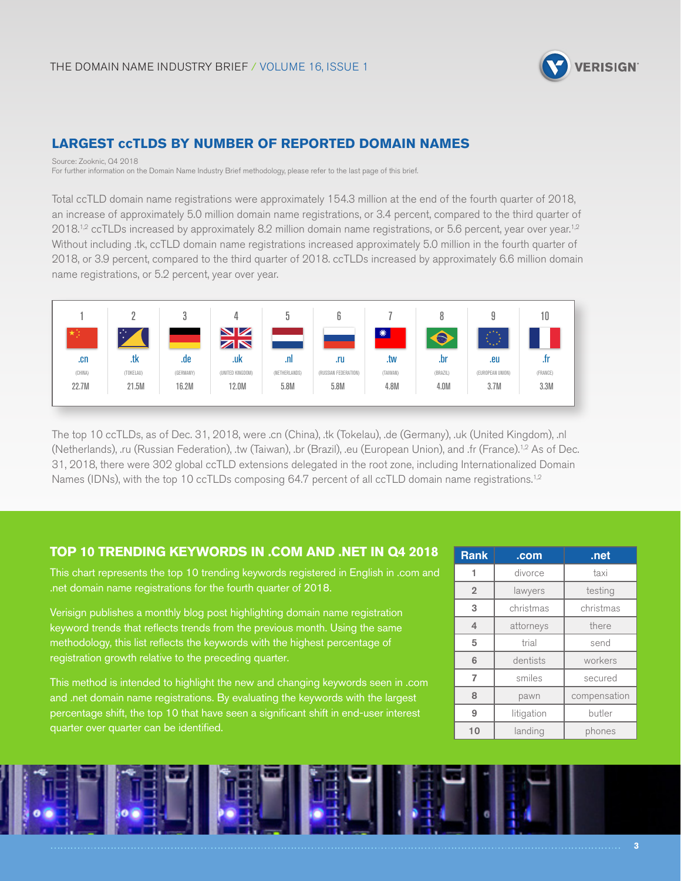

## **LARGEST ccTLDS BY NUMBER OF REPORTED DOMAIN NAMES**

Source: Zooknic, Q4 2018 For further information on the Domain Name Industry Brief methodology, please refer to the last page of this brief.

Total ccTLD domain name registrations were approximately 154.3 million at the end of the fourth quarter of 2018, an increase of approximately 5.0 million domain name registrations, or 3.4 percent, compared to the third quarter of  $2018<sup>1,2</sup>$  ccTLDs increased by approximately 8.2 million domain name registrations, or 5.6 percent, year over year.<sup>1,2</sup> Without including .tk, ccTLD domain name registrations increased approximately 5.0 million in the fourth quarter of 2018, or 3.9 percent, compared to the third quarter of 2018. ccTLDs increased by approximately 6.6 million domain name registrations, or 5.2 percent, year over year.



The top 10 ccTLDs, as of Dec. 31, 2018, were .cn (China), .tk (Tokelau), .de (Germany), .uk (United Kingdom), .nl (Netherlands), .ru (Russian Federation), .tw (Taiwan), .br (Brazil), .eu (European Union), and .fr (France).1,2 As of Dec. 31, 2018, there were 302 global ccTLD extensions delegated in the root zone, including Internationalized Domain Names (IDNs), with the top 10 ccTLDs composing 64.7 percent of all ccTLD domain name registrations.<sup>1,2</sup>

#### **TOP 10 TRENDING KEYWORDS IN .COM AND .NET IN Q4 2018**

This chart represents the top 10 trending keywords registered in English in .com and .net domain name registrations for the fourth quarter of 2018.

Verisign publishes a monthly blog post highlighting domain name registration keyword trends that reflects trends from the previous month. Using the same methodology, this list reflects the keywords with the highest percentage of registration growth relative to the preceding quarter.

This method is intended to highlight the new and changing keywords seen in .com and .net domain name registrations. By evaluating the keywords with the largest percentage shift, the top 10 that have seen a significant shift in end-user interest quarter over quarter can be identified.

| <b>Rank</b>    | .com       | .net         |
|----------------|------------|--------------|
| 1              | divorce    | taxi         |
| $\overline{2}$ | lawyers    | testing      |
| 3              | christmas  | christmas    |
| 4              | attorneys  | there        |
| 5              | trial      | send         |
| 6              | dentists   | workers      |
| 7              | smiles     | secured      |
| 8              | pawn       | compensation |
| 9              | litigation | butler       |
| 10             | landing    | phones       |

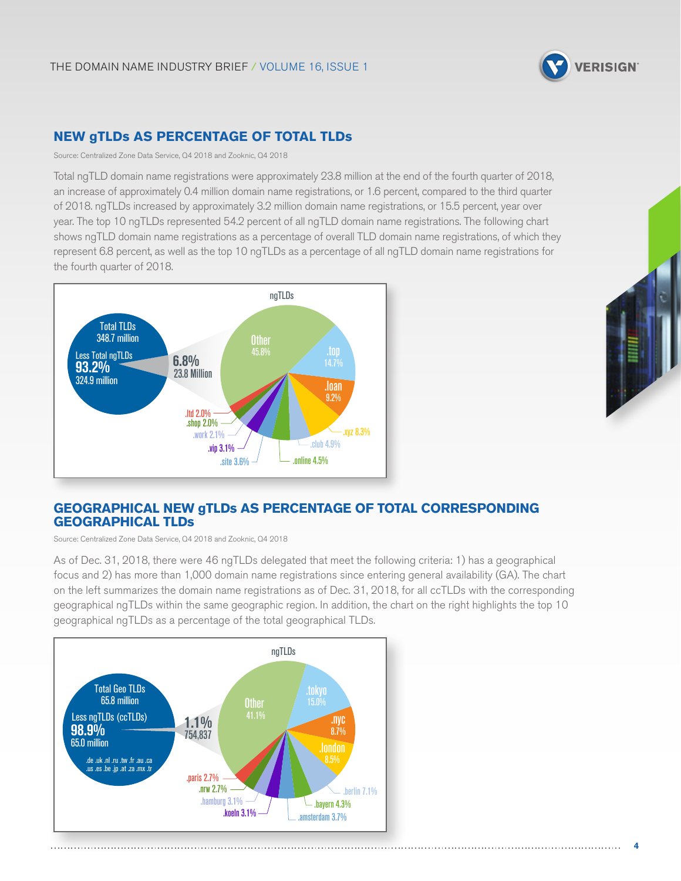

## **NEW gTLDs AS PERCENTAGE OF TOTAL TLDs**

Source: Centralized Zone Data Service, Q4 2018 and Zooknic, Q4 2018

Total ngTLD domain name registrations were approximately 23.8 million at the end of the fourth quarter of 2018, an increase of approximately 0.4 million domain name registrations, or 1.6 percent, compared to the third quarter of 2018. ngTLDs increased by approximately 3.2 million domain name registrations, or 15.5 percent, year over year. The top 10 ngTLDs represented 54.2 percent of all ngTLD domain name registrations. The following chart shows ngTLD domain name registrations as a percentage of overall TLD domain name registrations, of which they represent 6.8 percent, as well as the top 10 ngTLDs as a percentage of all ngTLD domain name registrations for the fourth quarter of 2018.





## **GEOGRAPHICAL NEW gTLDs AS PERCENTAGE OF TOTAL CORRESPONDING GEOGRAPHICAL TLDs**

Source: Centralized Zone Data Service, Q4 2018 and Zooknic, Q4 2018

As of Dec. 31, 2018, there were 46 ngTLDs delegated that meet the following criteria: 1) has a geographical focus and 2) has more than 1,000 domain name registrations since entering general availability (GA). The chart on the left summarizes the domain name registrations as of Dec. 31, 2018, for all ccTLDs with the corresponding geographical ngTLDs within the same geographic region. In addition, the chart on the right highlights the top 10 geographical ngTLDs as a percentage of the total geographical TLDs.